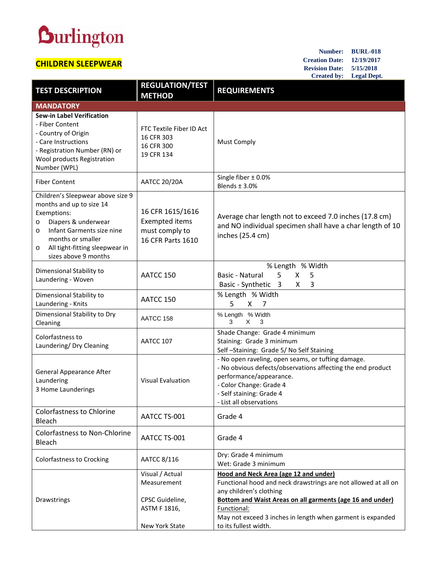## **Durlington**

## **CHILDREN SLEEPWEAR**

**Number: BURL-018 Creation Date: 12/19/2017 Revision Date: 5/15/2018 Created by: Legal Dept.**

| <b>TEST DESCRIPTION</b>                                                                                                                                                                                                        | <b>REGULATION/TEST</b><br><b>METHOD</b>                                          | <b>REQUIREMENTS</b>                                                                                                                                                                                                            |  |  |  |
|--------------------------------------------------------------------------------------------------------------------------------------------------------------------------------------------------------------------------------|----------------------------------------------------------------------------------|--------------------------------------------------------------------------------------------------------------------------------------------------------------------------------------------------------------------------------|--|--|--|
| <b>MANDATORY</b>                                                                                                                                                                                                               |                                                                                  |                                                                                                                                                                                                                                |  |  |  |
| <b>Sew-in Label Verification</b><br>- Fiber Content<br>- Country of Origin<br>- Care Instructions<br>- Registration Number (RN) or<br>Wool products Registration<br>Number (WPL)                                               | FTC Textile Fiber ID Act<br>16 CFR 303<br>16 CFR 300<br>19 CFR 134               | <b>Must Comply</b>                                                                                                                                                                                                             |  |  |  |
| <b>Fiber Content</b>                                                                                                                                                                                                           | <b>AATCC 20/20A</b>                                                              | Single fiber $\pm$ 0.0%<br>Blends $\pm$ 3.0%                                                                                                                                                                                   |  |  |  |
| Children's Sleepwear above size 9<br>months and up to size 14<br>Exemptions:<br>Diapers & underwear<br>O<br>Infant Garments size nine<br>O<br>months or smaller<br>All tight-fitting sleepwear in<br>O<br>sizes above 9 months | 16 CFR 1615/1616<br><b>Exempted items</b><br>must comply to<br>16 CFR Parts 1610 | Average char length not to exceed 7.0 inches (17.8 cm)<br>and NO individual specimen shall have a char length of 10<br>inches (25.4 cm)                                                                                        |  |  |  |
| Dimensional Stability to<br>Laundering - Woven                                                                                                                                                                                 | AATCC 150                                                                        | % Length % Width<br>Basic - Natural<br>5<br>X<br>5<br>Basic - Synthetic 3<br>X<br>3                                                                                                                                            |  |  |  |
| Dimensional Stability to<br>Laundering - Knits                                                                                                                                                                                 | AATCC 150                                                                        | % Length % Width<br>5<br>X<br>7                                                                                                                                                                                                |  |  |  |
| Dimensional Stability to Dry<br>Cleaning                                                                                                                                                                                       | AATCC 158                                                                        | % Length % Width<br>3<br>X.<br>3                                                                                                                                                                                               |  |  |  |
| Colorfastness to<br>Laundering/ Dry Cleaning                                                                                                                                                                                   | AATCC 107                                                                        | Shade Change: Grade 4 minimum<br>Staining: Grade 3 minimum<br>Self-Staining: Grade 5/No Self Staining                                                                                                                          |  |  |  |
| <b>General Appearance After</b><br>Laundering<br>3 Home Launderings                                                                                                                                                            | <b>Visual Evaluation</b>                                                         | - No open raveling, open seams, or tufting damage.<br>- No obvious defects/observations affecting the end product<br>performance/appearance.<br>- Color Change: Grade 4<br>- Self staining: Grade 4<br>- List all observations |  |  |  |
| <b>Colorfastness to Chlorine</b><br>Bleach                                                                                                                                                                                     | AATCC TS-001                                                                     | Grade 4                                                                                                                                                                                                                        |  |  |  |
| Colorfastness to Non-Chlorine<br>Bleach                                                                                                                                                                                        | AATCC TS-001                                                                     | Grade 4                                                                                                                                                                                                                        |  |  |  |
| Colorfastness to Crocking                                                                                                                                                                                                      | AATCC 8/116                                                                      | Dry: Grade 4 minimum<br>Wet: Grade 3 minimum                                                                                                                                                                                   |  |  |  |
| Drawstrings                                                                                                                                                                                                                    | Visual / Actual<br>Measurement<br>CPSC Guideline,                                | Hood and Neck Area (age 12 and under)<br>Functional hood and neck drawstrings are not allowed at all on<br>any children's clothing<br><b>Bottom and Waist Areas on all garments (age 16 and under)</b>                         |  |  |  |
|                                                                                                                                                                                                                                | ASTM F 1816,<br>New York State                                                   | Functional:<br>May not exceed 3 inches in length when garment is expanded<br>to its fullest width.                                                                                                                             |  |  |  |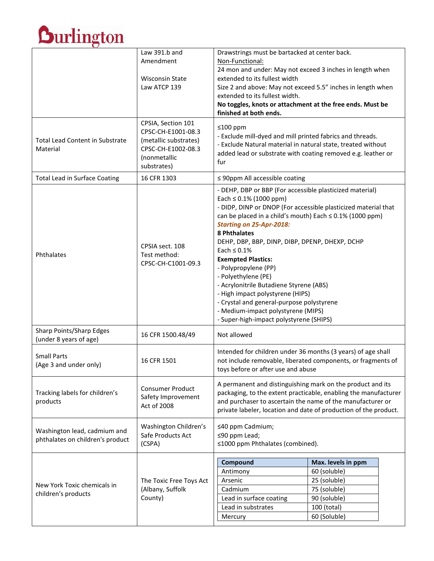

|                                                                  | Law 391.b and<br>Amendment                                                                                             | Drawstrings must be bartacked at center back.<br>Non-Functional:                                                                                                                                                                                                                                                                                                                                                                                                                                                                                                                                                                                      |                    |
|------------------------------------------------------------------|------------------------------------------------------------------------------------------------------------------------|-------------------------------------------------------------------------------------------------------------------------------------------------------------------------------------------------------------------------------------------------------------------------------------------------------------------------------------------------------------------------------------------------------------------------------------------------------------------------------------------------------------------------------------------------------------------------------------------------------------------------------------------------------|--------------------|
|                                                                  |                                                                                                                        | 24 mon and under: May not exceed 3 inches in length when                                                                                                                                                                                                                                                                                                                                                                                                                                                                                                                                                                                              |                    |
|                                                                  | <b>Wisconsin State</b>                                                                                                 | extended to its fullest width                                                                                                                                                                                                                                                                                                                                                                                                                                                                                                                                                                                                                         |                    |
|                                                                  | Law ATCP 139                                                                                                           | Size 2 and above: May not exceed 5.5" inches in length when<br>extended to its fullest width.                                                                                                                                                                                                                                                                                                                                                                                                                                                                                                                                                         |                    |
|                                                                  |                                                                                                                        | No toggles, knots or attachment at the free ends. Must be                                                                                                                                                                                                                                                                                                                                                                                                                                                                                                                                                                                             |                    |
|                                                                  |                                                                                                                        | finished at both ends.                                                                                                                                                                                                                                                                                                                                                                                                                                                                                                                                                                                                                                |                    |
| <b>Total Lead Content in Substrate</b><br>Material               | CPSIA, Section 101<br>CPSC-CH-E1001-08.3<br>(metallic substrates)<br>CPSC-CH-E1002-08.3<br>(nonmetallic<br>substrates) | ≤100 ppm<br>- Exclude mill-dyed and mill printed fabrics and threads.<br>- Exclude Natural material in natural state, treated without<br>added lead or substrate with coating removed e.g. leather or<br>fur                                                                                                                                                                                                                                                                                                                                                                                                                                          |                    |
| <b>Total Lead in Surface Coating</b>                             | 16 CFR 1303                                                                                                            | $\leq$ 90ppm All accessible coating                                                                                                                                                                                                                                                                                                                                                                                                                                                                                                                                                                                                                   |                    |
| Phthalates                                                       | CPSIA sect. 108<br>Test method:<br>CPSC-CH-C1001-09.3                                                                  | - DEHP, DBP or BBP (For accessible plasticized material)<br>Each $\leq 0.1\%$ (1000 ppm)<br>- DIDP, DINP or DNOP (For accessible plasticized material that<br>can be placed in a child's mouth) Each $\leq$ 0.1% (1000 ppm)<br><b>Starting on 25-Apr-2018:</b><br><b>8 Phthalates</b><br>DEHP, DBP, BBP, DINP, DIBP, DPENP, DHEXP, DCHP<br>Each $\leq 0.1\%$<br><b>Exempted Plastics:</b><br>- Polypropylene (PP)<br>- Polyethylene (PE)<br>- Acrylonitrile Butadiene Styrene (ABS)<br>- High impact polystyrene (HIPS)<br>- Crystal and general-purpose polystyrene<br>- Medium-impact polystyrene (MIPS)<br>- Super-high-impact polystyrene (SHIPS) |                    |
| Sharp Points/Sharp Edges<br>(under 8 years of age)               | 16 CFR 1500.48/49                                                                                                      | Not allowed                                                                                                                                                                                                                                                                                                                                                                                                                                                                                                                                                                                                                                           |                    |
| <b>Small Parts</b><br>(Age 3 and under only)                     | 16 CFR 1501                                                                                                            | Intended for children under 36 months (3 years) of age shall<br>not include removable, liberated components, or fragments of<br>toys before or after use and abuse                                                                                                                                                                                                                                                                                                                                                                                                                                                                                    |                    |
| Tracking labels for children's<br>products                       | <b>Consumer Product</b><br>Safety Improvement<br>Act of 2008                                                           | A permanent and distinguishing mark on the product and its<br>packaging, to the extent practicable, enabling the manufacturer<br>and purchaser to ascertain the name of the manufacturer or<br>private labeler, location and date of production of the product.                                                                                                                                                                                                                                                                                                                                                                                       |                    |
| Washington lead, cadmium and<br>phthalates on children's product | Washington Children's<br>Safe Products Act<br>(CSPA)                                                                   | ≤40 ppm Cadmium;<br>≤90 ppm Lead;<br>≤1000 ppm Phthalates (combined).                                                                                                                                                                                                                                                                                                                                                                                                                                                                                                                                                                                 |                    |
| New York Toxic chemicals in<br>children's products               | The Toxic Free Toys Act<br>(Albany, Suffolk<br>County)                                                                 | Compound                                                                                                                                                                                                                                                                                                                                                                                                                                                                                                                                                                                                                                              | Max. levels in ppm |
|                                                                  |                                                                                                                        | Antimony                                                                                                                                                                                                                                                                                                                                                                                                                                                                                                                                                                                                                                              | 60 (soluble)       |
|                                                                  |                                                                                                                        | Arsenic                                                                                                                                                                                                                                                                                                                                                                                                                                                                                                                                                                                                                                               | 25 (soluble)       |
|                                                                  |                                                                                                                        | Cadmium                                                                                                                                                                                                                                                                                                                                                                                                                                                                                                                                                                                                                                               | 75 (soluble)       |
|                                                                  |                                                                                                                        | Lead in surface coating                                                                                                                                                                                                                                                                                                                                                                                                                                                                                                                                                                                                                               | 90 (soluble)       |
|                                                                  |                                                                                                                        | Lead in substrates                                                                                                                                                                                                                                                                                                                                                                                                                                                                                                                                                                                                                                    | 100 (total)        |
|                                                                  |                                                                                                                        | Mercury                                                                                                                                                                                                                                                                                                                                                                                                                                                                                                                                                                                                                                               | 60 (Soluble)       |
|                                                                  |                                                                                                                        |                                                                                                                                                                                                                                                                                                                                                                                                                                                                                                                                                                                                                                                       |                    |